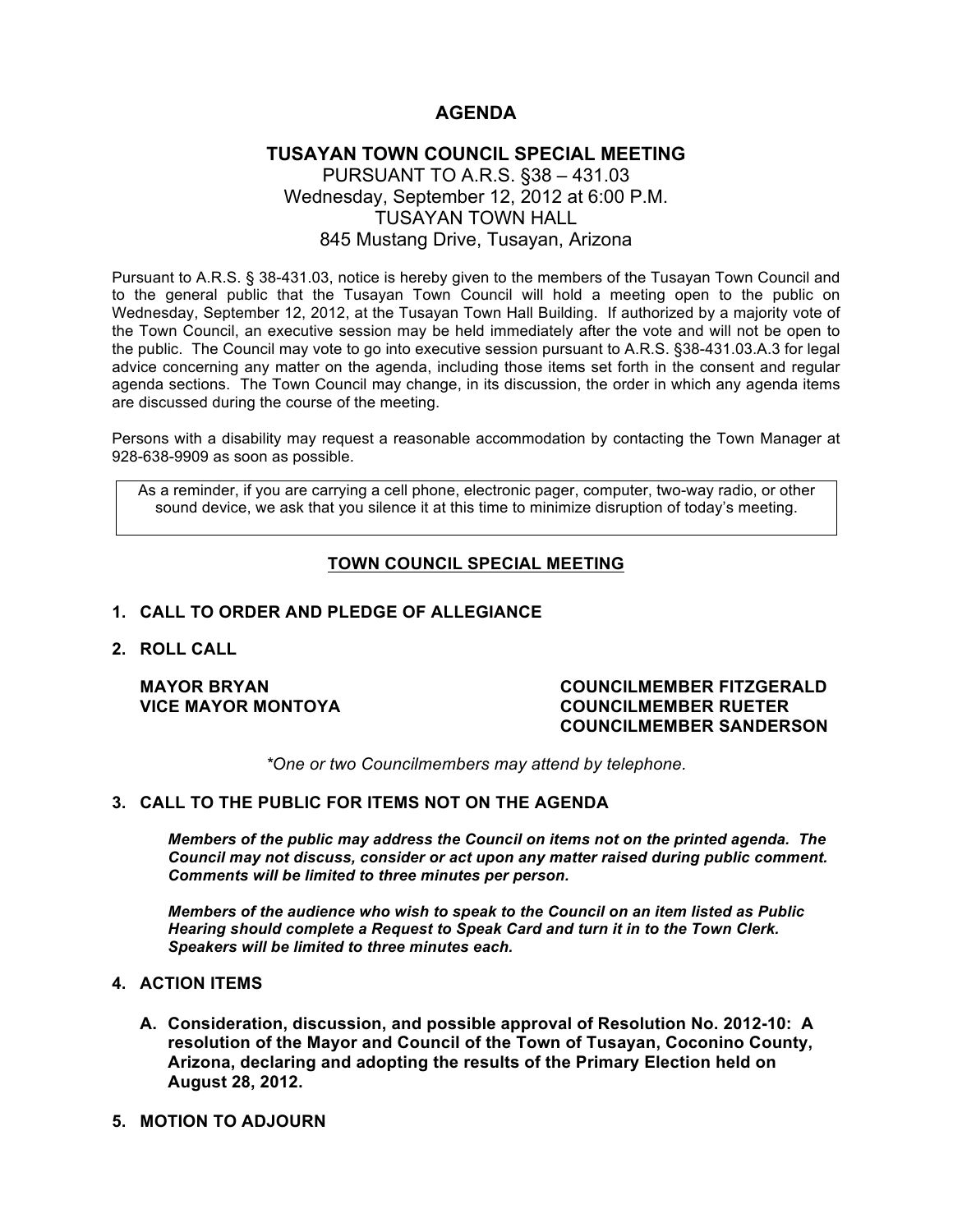# **AGENDA**

# **TUSAYAN TOWN COUNCIL SPECIAL MEETING** PURSUANT TO A.R.S. §38 – 431.03 Wednesday, September 12, 2012 at 6:00 P.M. TUSAYAN TOWN HALL 845 Mustang Drive, Tusayan, Arizona

Pursuant to A.R.S. § 38-431.03, notice is hereby given to the members of the Tusayan Town Council and to the general public that the Tusayan Town Council will hold a meeting open to the public on Wednesday, September 12, 2012, at the Tusayan Town Hall Building. If authorized by a majority vote of the Town Council, an executive session may be held immediately after the vote and will not be open to the public. The Council may vote to go into executive session pursuant to A.R.S. §38-431.03.A.3 for legal advice concerning any matter on the agenda, including those items set forth in the consent and regular agenda sections. The Town Council may change, in its discussion, the order in which any agenda items are discussed during the course of the meeting.

Persons with a disability may request a reasonable accommodation by contacting the Town Manager at 928-638-9909 as soon as possible.

As a reminder, if you are carrying a cell phone, electronic pager, computer, two-way radio, or other sound device, we ask that you silence it at this time to minimize disruption of today's meeting.

## **TOWN COUNCIL SPECIAL MEETING**

### **1. CALL TO ORDER AND PLEDGE OF ALLEGIANCE**

**2. ROLL CALL**

#### **MAYOR BRYAN COUNCILMEMBER FITZGERALD VICE MAYOR MONTOYA COUNCILMEMBER RUETER COUNCILMEMBER SANDERSON**

*\*One or two Councilmembers may attend by telephone.*

### **3. CALL TO THE PUBLIC FOR ITEMS NOT ON THE AGENDA**

*Members of the public may address the Council on items not on the printed agenda. The Council may not discuss, consider or act upon any matter raised during public comment. Comments will be limited to three minutes per person.*

*Members of the audience who wish to speak to the Council on an item listed as Public Hearing should complete a Request to Speak Card and turn it in to the Town Clerk. Speakers will be limited to three minutes each.*

#### **4. ACTION ITEMS**

- **A. Consideration, discussion, and possible approval of Resolution No. 2012-10: A resolution of the Mayor and Council of the Town of Tusayan, Coconino County, Arizona, declaring and adopting the results of the Primary Election held on August 28, 2012.**
- **5. MOTION TO ADJOURN**